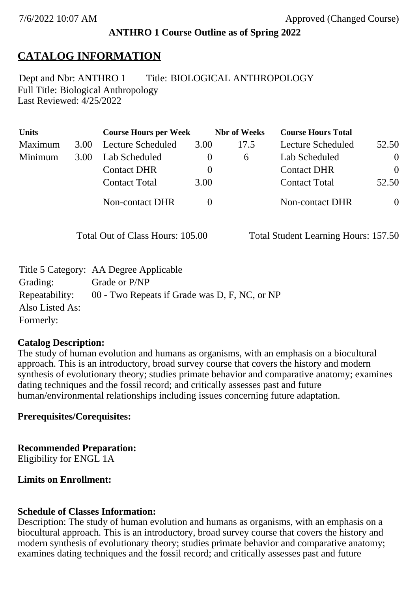## **ANTHRO 1 Course Outline as of Spring 2022**

# **CATALOG INFORMATION**

Full Title: Biological Anthropology Last Reviewed: 4/25/2022 Dept and Nbr: ANTHRO 1 Title: BIOLOGICAL ANTHROPOLOGY

| <b>Units</b> |      | <b>Course Hours per Week</b> |          | <b>Nbr</b> of Weeks | <b>Course Hours Total</b> |                |
|--------------|------|------------------------------|----------|---------------------|---------------------------|----------------|
| Maximum      | 3.00 | Lecture Scheduled            | 3.00     | 17.5                | Lecture Scheduled         | 52.50          |
| Minimum      | 3.00 | Lab Scheduled                | O        | $\sigma$            | Lab Scheduled             | $\overline{0}$ |
|              |      | <b>Contact DHR</b>           | $\theta$ |                     | <b>Contact DHR</b>        | $\Omega$       |
|              |      | <b>Contact Total</b>         | 3.00     |                     | <b>Contact Total</b>      | 52.50          |
|              |      | Non-contact DHR              |          |                     | <b>Non-contact DHR</b>    | $\theta$       |

Total Out of Class Hours: 105.00 Total Student Learning Hours: 157.50

|                 | Title 5 Category: AA Degree Applicable        |
|-----------------|-----------------------------------------------|
| Grading:        | Grade or P/NP                                 |
| Repeatability:  | 00 - Two Repeats if Grade was D, F, NC, or NP |
| Also Listed As: |                                               |
| Formerly:       |                                               |

### **Catalog Description:**

The study of human evolution and humans as organisms, with an emphasis on a biocultural approach. This is an introductory, broad survey course that covers the history and modern synthesis of evolutionary theory; studies primate behavior and comparative anatomy; examines dating techniques and the fossil record; and critically assesses past and future human/environmental relationships including issues concerning future adaptation.

## **Prerequisites/Corequisites:**

## **Recommended Preparation:**

Eligibility for ENGL 1A

## **Limits on Enrollment:**

## **Schedule of Classes Information:**

Description: The study of human evolution and humans as organisms, with an emphasis on a biocultural approach. This is an introductory, broad survey course that covers the history and modern synthesis of evolutionary theory; studies primate behavior and comparative anatomy; examines dating techniques and the fossil record; and critically assesses past and future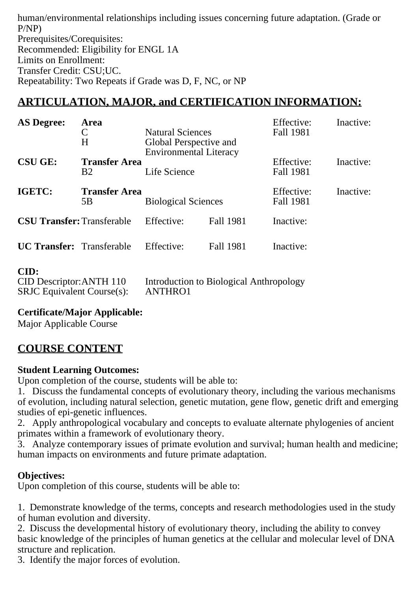human/environmental relationships including issues concerning future adaptation. (Grade or P/NP) Prerequisites/Corequisites: Recommended: Eligibility for ENGL 1A Limits on Enrollment: Transfer Credit: CSU;UC. Repeatability: Two Repeats if Grade was D, F, NC, or NP

# **ARTICULATION, MAJOR, and CERTIFICATION INFORMATION:**

| <b>AS Degree:</b>                 | Area                 |                                         |                  | Effective: | Inactive: |
|-----------------------------------|----------------------|-----------------------------------------|------------------|------------|-----------|
|                                   | C                    | <b>Natural Sciences</b>                 |                  | Fall 1981  |           |
|                                   | H                    | Global Perspective and                  |                  |            |           |
|                                   |                      | <b>Environmental Literacy</b>           |                  |            |           |
| <b>CSU GE:</b>                    | <b>Transfer Area</b> |                                         |                  | Effective: | Inactive: |
|                                   | <b>B2</b>            | Life Science                            |                  | Fall 1981  |           |
| IGETC:                            | <b>Transfer Area</b> |                                         |                  | Effective: | Inactive: |
|                                   | 5B                   | <b>Biological Sciences</b>              |                  | Fall 1981  |           |
| <b>CSU Transfer: Transferable</b> |                      | Effective:                              | Fall 1981        | Inactive:  |           |
| <b>UC Transfer:</b> Transferable  |                      | Effective:                              | <b>Fall 1981</b> | Inactive:  |           |
| CID:                              |                      |                                         |                  |            |           |
| CID Descriptor: ANTH 110          |                      | Introduction to Biological Anthropology |                  |            |           |

| CID Descriptor: ANTH 110         | Introduction to Biological Anthropology |
|----------------------------------|-----------------------------------------|
| $SRJC$ Equivalent Course $(s)$ : | ANTHRO1                                 |

**Certificate/Major Applicable:** 

[Major Applicable Course](SR_ClassCheck.aspx?CourseKey=ANTHRO1)

# **COURSE CONTENT**

## **Student Learning Outcomes:**

Upon completion of the course, students will be able to:

1. Discuss the fundamental concepts of evolutionary theory, including the various mechanisms of evolution, including natural selection, genetic mutation, gene flow, genetic drift and emerging studies of epi-genetic influences.

2. Apply anthropological vocabulary and concepts to evaluate alternate phylogenies of ancient primates within a framework of evolutionary theory.

3. Analyze contemporary issues of primate evolution and survival; human health and medicine; human impacts on environments and future primate adaptation.

## **Objectives:**

Upon completion of this course, students will be able to:

1. Demonstrate knowledge of the terms, concepts and research methodologies used in the study of human evolution and diversity.

2. Discuss the developmental history of evolutionary theory, including the ability to convey basic knowledge of the principles of human genetics at the cellular and molecular level of DNA structure and replication.

3. Identify the major forces of evolution.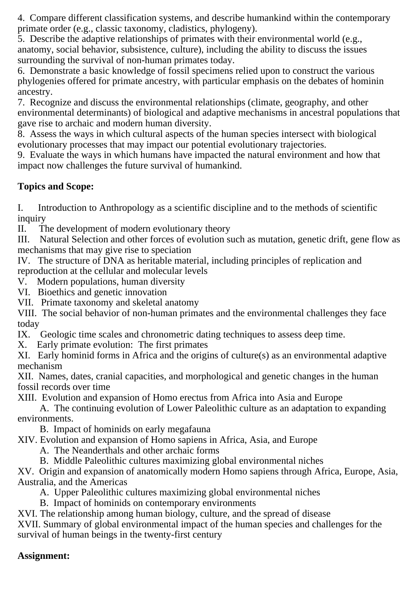4. Compare different classification systems, and describe humankind within the contemporary primate order (e.g., classic taxonomy, cladistics, phylogeny).

5. Describe the adaptive relationships of primates with their environmental world (e.g., anatomy, social behavior, subsistence, culture), including the ability to discuss the issues surrounding the survival of non-human primates today.

6. Demonstrate a basic knowledge of fossil specimens relied upon to construct the various phylogenies offered for primate ancestry, with particular emphasis on the debates of hominin ancestry.

7. Recognize and discuss the environmental relationships (climate, geography, and other environmental determinants) of biological and adaptive mechanisms in ancestral populations that gave rise to archaic and modern human diversity.

8. Assess the ways in which cultural aspects of the human species intersect with biological evolutionary processes that may impact our potential evolutionary trajectories.

9. Evaluate the ways in which humans have impacted the natural environment and how that impact now challenges the future survival of humankind.

## **Topics and Scope:**

I. Introduction to Anthropology as a scientific discipline and to the methods of scientific inquiry<br>II. Tl

The development of modern evolutionary theory

III. Natural Selection and other forces of evolution such as mutation, genetic drift, gene flow as mechanisms that may give rise to speciation

IV. The structure of DNA as heritable material, including principles of replication and reproduction at the cellular and molecular levels

V. Modern populations, human diversity

VI. Bioethics and genetic innovation

VII. Primate taxonomy and skeletal anatomy

VIII. The social behavior of non-human primates and the environmental challenges they face today

IX. Geologic time scales and chronometric dating techniques to assess deep time.

X. Early primate evolution: The first primates

XI. Early hominid forms in Africa and the origins of culture(s) as an environmental adaptive mechanism

XII. Names, dates, cranial capacities, and morphological and genetic changes in the human fossil records over time

XIII. Evolution and expansion of Homo erectus from Africa into Asia and Europe

 A. The continuing evolution of Lower Paleolithic culture as an adaptation to expanding environments.

B. Impact of hominids on early megafauna

XIV. Evolution and expansion of Homo sapiens in Africa, Asia, and Europe

A. The Neanderthals and other archaic forms

B. Middle Paleolithic cultures maximizing global environmental niches

XV. Origin and expansion of anatomically modern Homo sapiens through Africa, Europe, Asia, Australia, and the Americas

A. Upper Paleolithic cultures maximizing global environmental niches

B. Impact of hominids on contemporary environments

XVI. The relationship among human biology, culture, and the spread of disease

XVII. Summary of global environmental impact of the human species and challenges for the survival of human beings in the twenty-first century

## **Assignment:**